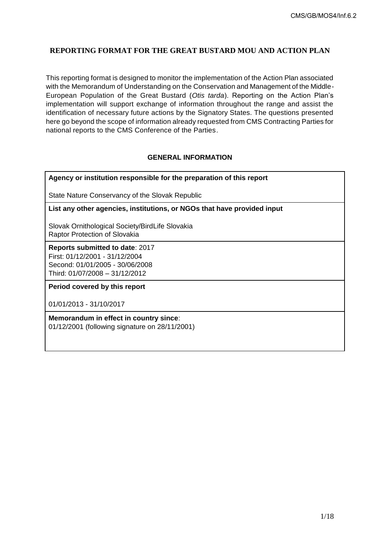# **REPORTING FORMAT FOR THE GREAT BUSTARD MOU AND ACTION PLAN**

This reporting format is designed to monitor the implementation of the Action Plan associated with the Memorandum of Understanding on the Conservation and Management of the Middle-European Population of the Great Bustard (*Otis tarda*). Reporting on the Action Plan's implementation will support exchange of information throughout the range and assist the identification of necessary future actions by the Signatory States. The questions presented here go beyond the scope of information already requested from CMS Contracting Parties for national reports to the CMS Conference of the Parties.

## **GENERAL INFORMATION**

## **Agency or institution responsible for the preparation of this report**

State Nature Conservancy of the Slovak Republic

**List any other agencies, institutions, or NGOs that have provided input**

Slovak Ornithological Society/BirdLife Slovakia Raptor Protection of Slovakia

**Reports submitted to date**: 2017 First: 01/12/2001 - 31/12/2004 Second: 01/01/2005 - 30/06/2008 Third: 01/07/2008 – 31/12/2012

**Period covered by this report**

01/01/2013 - 31/10/2017

**Memorandum in effect in country since**: 01/12/2001 (following signature on 28/11/2001)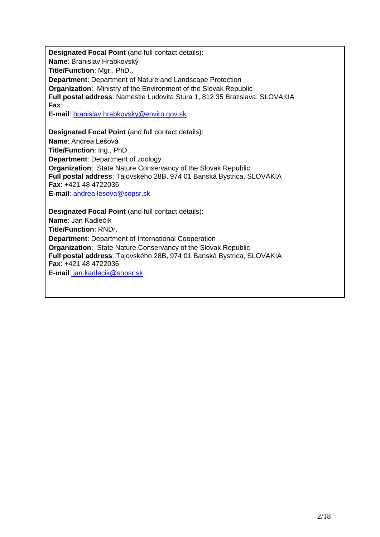**Designated Focal Point** (and full contact details): **Name**: Branislav Hrabkovský **Title/Function**: Mgr., PhD., **Department**: Department of Nature and Landscape Protection **Organization**: Ministry of the Environment of the Slovak Republic **Full postal address**: Namestie Ludovita Stura 1, 812 35 Bratislava, SLOVAKIA **Fax**: **E-mail**: [branislav.hrabkovsky@enviro.gov.sk](mailto:branislav.hrabkovsky@enviro.gov.sk) **Designated Focal Point** (and full contact details): **Name**: Andrea Lešová **Title/Function**: Ing., PhD., **Department**: Department of zoology **Organization**: State Nature Conservancy of the Slovak Republic **Full postal address**: Tajovského 28B, 974 01 Banská Bystrica, SLOVAKIA **Fax**: +421 48 4722036

**E-mail**: [andrea.lesova@sopsr.sk](mailto:andrea.lesova@sopsr.sk)

**Designated Focal Point** (and full contact details): **Name**: Ján Kadlečík **Title/Function**: RNDr. **Department**: Department of International Cooperation **Organization**: State Nature Conservancy of the Slovak Republic **Full postal address**: Tajovského 28B, 974 01 Banská Bystrica, SLOVAKIA **Fax**: +421 48 4722036 **E-mail**: [jan.kadlecik@sopsr.sk](file:///D:/AppData/Local/AppData/Local/Microsoft/Windows/INetCache/AppData/Local/Microsoft/Windows/Temporary%20Internet%20Files/Content.Outlook/EGW0D011/%20jan.kadlecik@sopsr.sk)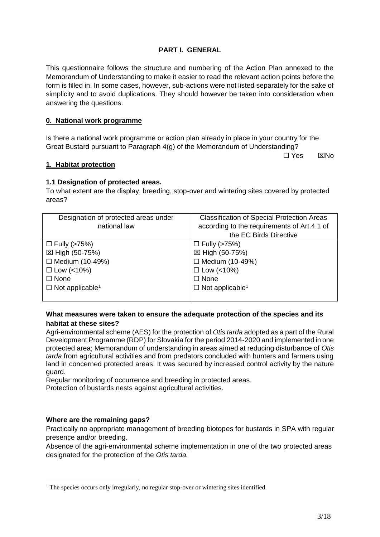# **PART I. GENERAL**

This questionnaire follows the structure and numbering of the Action Plan annexed to the Memorandum of Understanding to make it easier to read the relevant action points before the form is filled in. In some cases, however, sub-actions were not listed separately for the sake of simplicity and to avoid duplications. They should however be taken into consideration when answering the questions.

# **0. National work programme**

Is there a national work programme or action plan already in place in your country for the Great Bustard pursuant to Paragraph 4(g) of the Memorandum of Understanding?

 $\Box$  Yes  $\boxtimes$  No

### **1. Habitat protection**

## **1.1 Designation of protected areas.**

To what extent are the display, breeding, stop-over and wintering sites covered by protected areas?

| Designation of protected areas under | <b>Classification of Special Protection Areas</b> |
|--------------------------------------|---------------------------------------------------|
| national law                         | according to the requirements of Art.4.1 of       |
|                                      | the EC Birds Directive                            |
| $\Box$ Fully (>75%)                  | $\Box$ Fully (>75%)                               |
| ⊠ High (50-75%)                      | ⊠ High (50-75%)                                   |
| □ Medium (10-49%)                    | $\Box$ Medium (10-49%)                            |
| $\Box$ Low (<10%)                    | $\Box$ Low (<10%)                                 |
| $\Box$ None                          | $\Box$ None                                       |
| $\Box$ Not applicable <sup>1</sup>   | $\Box$ Not applicable <sup>1</sup>                |
|                                      |                                                   |

## <span id="page-2-0"></span>**What measures were taken to ensure the adequate protection of the species and its habitat at these sites?**

Agri-environmental scheme (AES) for the protection of *Otis tarda* adopted as a part of the Rural Development Programme (RDP) for Slovakia for the period 2014-2020 and implemented in one protected area; Memorandum of understanding in areas aimed at reducing disturbance of *Otis tarda* from agricultural activities and from predators concluded with hunters and farmers using land in concerned protected areas. It was secured by increased control activity by the nature guard.

Regular monitoring of occurrence and breeding in protected areas. Protection of bustards nests against agricultural activities.

## **Where are the remaining gaps?**

1

Practically no appropriate management of breeding biotopes for bustards in SPA with regular presence and/or breeding.

Absence of the agri-environmental scheme implementation in one of the two protected areas designated for the protection of the *Otis tarda.*

<sup>&</sup>lt;sup>1</sup> The species occurs only irregularly, no regular stop-over or wintering sites identified.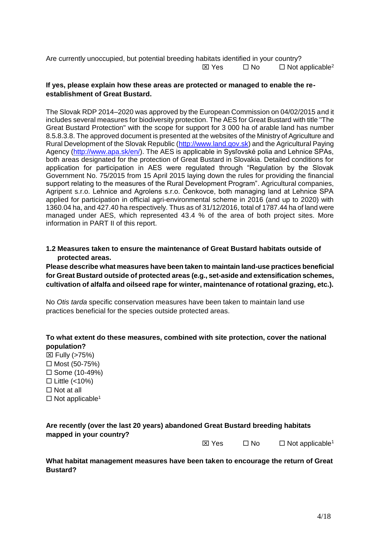Are currently unoccupied, but potential breeding habitats identified in your country?  $\boxtimes$  Yes  $\Box$  No  $\Box$  Not applicable<sup>2</sup>

# **If yes, please explain how these areas are protected or managed to enable the reestablishment of Great Bustard.**

The Slovak RDP 2014–2020 was approved by the European Commission on 04/02/2015 and it includes several measures for biodiversity protection. The AES for Great Bustard with title "The Great Bustard Protection" with the scope for support for 3 000 ha of arable land has number 8.5.8.3.8. The approved document is presented at the websites of the Ministry of Agriculture and Rural Development of the Slovak Republic [\(http://www.land.gov.sk\)](http://www.land.gov.sk/) and the Agricultural Paying Agency [\(http://www.apa.sk/en/\)](http://www.apa.sk/en/). The AES is applicable in Sysľovské polia and Lehnice SPAs, both areas designated for the protection of Great Bustard in Slovakia. Detailed conditions for application for participation in AES were regulated through "Regulation by the Slovak Government No. 75/2015 from 15 April 2015 laying down the rules for providing the financial support relating to the measures of the Rural Development Program". Agricultural companies, Agripent s.r.o. Lehnice and Agrolens s.r.o. Čenkovce, both managing land at Lehnice SPA applied for participation in official agri-environmental scheme in 2016 (and up to 2020) with 1360.04 ha, and 427.40 ha respectively. Thus as of 31/12/2016, total of 1787.44 ha of land were managed under AES, which represented 43.4 % of the area of both project sites. More information in PART II of this report.

**1.2 Measures taken to ensure the maintenance of Great Bustard habitats outside of protected areas.**

**Please describe what measures have been taken to maintain land-use practices beneficial for Great Bustard outside of protected areas (e.g., set-aside and extensification schemes, cultivation of alfalfa and oilseed rape for winter, maintenance of rotational grazing, etc.).**

No *Otis tarda* specific conservation measures have been taken to maintain land use practices beneficial for the species outside protected areas.

## **To what extent do these measures, combined with site protection, cover the national population?**

 $\boxtimes$  Fully (>75%)  $\Box$  Most (50-75%)  $\square$  Some (10-49%)  $\Box$  Little (<10%)  $\Box$  Not at all  $\Box$  Not applicable<sup>[1](#page-2-0)</sup>

| Are recently (over the last 20 years) abandoned Great Bustard breeding habitats |  |
|---------------------------------------------------------------------------------|--|
| mapped in your country?                                                         |  |

 $\boxtimes$  Yes  $\Box$  No  $\Box$  Not applicable<sup>[1](#page-2-0)</sup>

**What habitat management measures have been taken to encourage the return of Great Bustard?**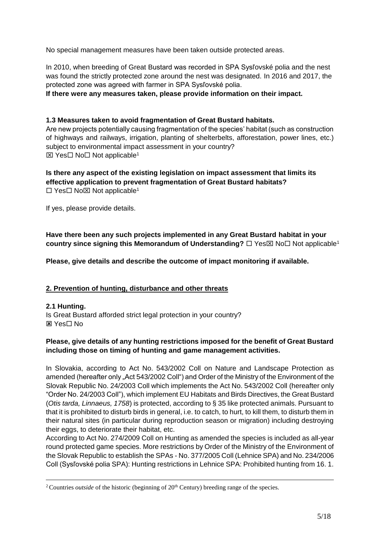No special management measures have been taken outside protected areas.

In 2010, when breeding of Great Bustard was recorded in SPA Sysľovské polia and the nest was found the strictly protected zone around the nest was designated. In 2016 and 2017, the protected zone was agreed with farmer in SPA Sysľovské polia.

**If there were any measures taken, please provide information on their impact.**

# **1.3 Measures taken to avoid fragmentation of Great Bustard habitats.**

Are new projects potentially causing fragmentation of the species' habitat (such as construction of highways and railways, irrigation, planting of shelterbelts, afforestation, power lines, etc.) subject to environmental impact assessment in your country?  $\boxtimes$  Yes $\Box$  No $\Box$  Not applicable<sup>[1](#page-2-0)</sup>

## **Is there any aspect of the existing legislation on impact assessment that limits its effective application to prevent fragmentation of Great Bustard habitats?**  $\Box$  Yes $\Box$  No $\boxtimes$  Not applicable<sup>[1](#page-2-0)</sup>

If yes, please provide details.

**Have there been any such projects implemented in any Great Bustard habitat in your country since signing this Memorandum of Understanding?** □ Yes No Not applicable<sup>[1](#page-2-0)</sup>

**Please, give details and describe the outcome of impact monitoring if available.**

# **2. Prevention of hunting, disturbance and other threats**

## **2.1 Hunting.**

1

Is Great Bustard afforded strict legal protection in your country? **⊠ Yes**□ No

# **Please, give details of any hunting restrictions imposed for the benefit of Great Bustard including those on timing of hunting and game management activities.**

In Slovakia, according to Act No. 543/2002 Coll on Nature and Landscape Protection as amended (hereafter only "Act 543/2002 Coll") and Order of the Ministry of the Environment of the Slovak Republic No. 24/2003 Coll which implements the Act No. 543/2002 Coll (hereafter only "Order No. 24/2003 Coll"), which implement EU Habitats and Birds Directives, the Great Bustard (*Otis tarda, Linnaeus, 1758*) is protected, according to § 35 like protected animals. Pursuant to that it is prohibited to disturb birds in general, i.e. to catch, to hurt, to kill them, to disturb them in their natural sites (in particular during reproduction season or migration) including destroying their eggs, to deteriorate their habitat, etc.

According to Act No. 274/2009 Coll on Hunting as amended the species is included as all-year round protected game species. More restrictions by Order of the Ministry of the Environment of the Slovak Republic to establish the SPAs - No. 377/2005 Coll (Lehnice SPA) and No. 234/2006 Coll (Sysľovské polia SPA): Hunting restrictions in Lehnice SPA: Prohibited hunting from 16. 1.

<sup>&</sup>lt;sup>2</sup> Countries *outside* of the historic (beginning of 20<sup>th</sup> Century) breeding range of the species.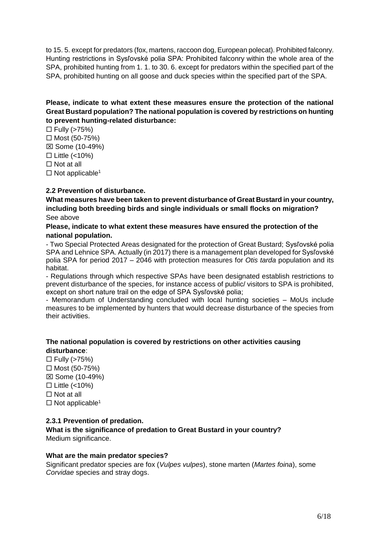to 15. 5. except for predators (fox, martens, raccoon dog, European polecat). Prohibited falconry. Hunting restrictions in Sysľovské polia SPA: Prohibited falconry within the whole area of the SPA, prohibited hunting from 1. 1. to 30. 6. except for predators within the specified part of the SPA, prohibited hunting on all goose and duck species within the specified part of the SPA.

# **Please, indicate to what extent these measures ensure the protection of the national Great Bustard population? The national population is covered by restrictions on hunting to prevent hunting-related disturbance:**

 $\Box$  Fully (>75%)  $\Box$  Most (50-75%)  $\boxtimes$  Some (10-49%)  $\Box$  Little (<10%)  $\Box$  Not at all  $\Box$  Not applicable<sup>[1](#page-2-0)</sup>

# **2.2 Prevention of disturbance.**

**What measures have been taken to prevent disturbance of Great Bustard in your country, including both breeding birds and single individuals or small flocks on migration?** See above

# **Please, indicate to what extent these measures have ensured the protection of the national population.**

- Two Special Protected Areas designated for the protection of Great Bustard; Sysľovské polia SPA and Lehnice SPA. Actually (in 2017) there is a management plan developed for Sysľovské polia SPA for period 2017 – 2046 with protection measures for *Otis tarda* population and its habitat.

- Regulations through which respective SPAs have been designated establish restrictions to prevent disturbance of the species, for instance access of public/ visitors to SPA is prohibited, except on short nature trail on the edge of SPA Sysľovské polia;

- Memorandum of Understanding concluded with local hunting societies – MoUs include measures to be implemented by hunters that would decrease disturbance of the species from their activities.

# **The national population is covered by restrictions on other activities causing disturbance**:

 $\Box$  Fully (>75%)  $\Box$  Most (50-75%)  $\boxtimes$  Some (10-49%)  $\Box$  Little (<10%)  $\Box$  Not at all  $\Box$  Not applicable<sup>[1](#page-2-0)</sup>

## **2.3.1 Prevention of predation.**

**What is the significance of predation to Great Bustard in your country?** Medium significance.

## **What are the main predator species?**

Significant predator species are fox (*Vulpes vulpes*), stone marten (*Martes foina*), some *Corvidae* species and stray dogs.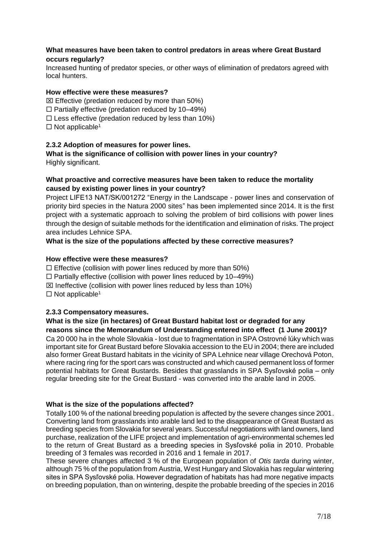# **What measures have been taken to control predators in areas where Great Bustard occurs regularly?**

Increased hunting of predator species, or other ways of elimination of predators agreed with local hunters.

## **How effective were these measures?**

 $\boxtimes$  Effective (predation reduced by more than 50%)

 $\Box$  Partially effective (predation reduced by 10–49%)

 $\square$  Less effective (predation reduced by less than 10%)

 $\Box$  Not applicable<sup>[1](#page-2-0)</sup>

## **2.3.2 Adoption of measures for power lines.**

**What is the significance of collision with power lines in your country?**  Highly significant.

# **What proactive and corrective measures have been taken to reduce the mortality caused by existing power lines in your country?**

Project LIFE13 NAT/SK/001272 "Energy in the Landscape - power lines and conservation of priority bird species in the Natura 2000 sites" has been implemented since 2014. It is the first project with a systematic approach to solving the problem of bird collisions with power lines through the design of suitable methods for the identification and elimination of risks. The project area includes Lehnice SPA.

**What is the size of the populations affected by these corrective measures?**

## **How effective were these measures?**

 $\Box$  Effective (collision with power lines reduced by more than 50%)

 $\Box$  Partially effective (collision with power lines reduced by 10–49%)

 $\boxtimes$  Ineffective (collision with power lines reduced by less than 10%)

 $\Box$  Not applicable<sup>[1](#page-2-0)</sup>

## **2.3.3 Compensatory measures.**

## **What is the size (in hectares) of Great Bustard habitat lost or degraded for any reasons since the Memorandum of Understanding entered into effect (1 June 2001)?**

Ca 20 000 ha in the whole Slovakia - lost due to fragmentation in SPA Ostrovné lúky which was important site for Great Bustard before Slovakia accession to the EU in 2004; there are included also former Great Bustard habitats in the vicinity of SPA Lehnice near village Orechová Poton, where racing ring for the sport cars was constructed and which caused permanent loss of former potential habitats for Great Bustards. Besides that grasslands in SPA Sysľovské polia – only regular breeding site for the Great Bustard - was converted into the arable land in 2005.

#### **What is the size of the populations affected?**

Totally 100 % of the national breeding population is affected by the severe changes since 2001. Converting land from grasslands into arable land led to the disappearance of Great Bustard as breeding species from Slovakia for several years. Successful negotiations with land owners, land purchase, realization of the LIFE project and implementation of agri-environmental schemes led to the return of Great Bustard as a breeding species in Sysľovské polia in 2010. Probable breeding of 3 females was recorded in 2016 and 1 female in 2017.

These severe changes affected 3 % of the European population of *Otis tarda* during winter, although 75 % of the population from Austria, West Hungary and Slovakia has regular wintering sites in SPA Sysľovské polia. However degradation of habitats has had more negative impacts on breeding population, than on wintering, despite the probable breeding of the species in 2016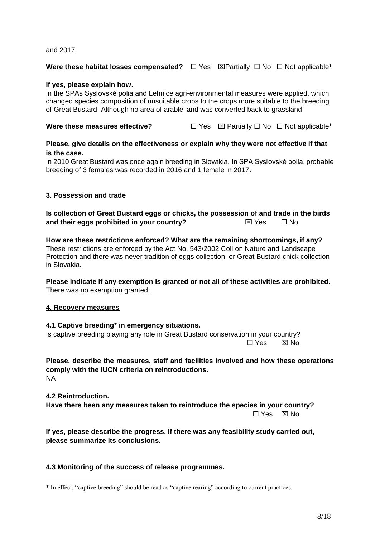and 2017.

## **W[e](#page-2-0)re these habitat losses compensated?**  $\Box$  Yes  $\Box$ Partially  $\Box$  No  $\Box$  Not applicable<sup>1</sup>

## **If yes, please explain how.**

In the SPAs Sysľovské polia and Lehnice agri-environmental measures were applied, which changed species composition of unsuitable crops to the crops more suitable to the breeding of Great Bustard. Although no area of arable land was converted back to grassland.

# **W[e](#page-2-0)re these measures effective?** <br>  $\Box$  Yes  $\Box$  Partially  $\Box$  No  $\Box$  Not applicable<sup>1</sup>

## **Please, give details on the effectiveness or explain why they were not effective if that is the case.**

In 2010 Great Bustard was once again breeding in Slovakia. In SPA Sysľovské polia, probable breeding of 3 females was recorded in 2016 and 1 female in 2017.

### **3. Possession and trade**

**Is collection of Great Bustard eggs or chicks, the possession of and trade in the birds and their eggs prohibited in your country?**  $\boxtimes$  Yes  $\Box$  No

**How are these restrictions enforced? What are the remaining shortcomings, if any?** These restrictions are enforced by the Act No. 543/2002 Coll on Nature and Landscape Protection and there was never tradition of eggs collection, or Great Bustard chick collection in Slovakia.

**Please indicate if any exemption is granted or not all of these activities are prohibited.** There was no exemption granted.

#### **4. Recovery measures**

#### **4.1 Captive breeding\* in emergency situations.** Is captive breeding playing any role in Great Bustard conservation in your country?

 $\Box$  Yes ⊠ No

**Please, describe the measures, staff and facilities involved and how these operations comply with the IUCN criteria on reintroductions.** NA

**4.2 Reintroduction.** 

1

**Have there been any measures taken to reintroduce the species in your country?**   $\Box$  Yes  $\boxtimes$  No

**If yes, please describe the progress. If there was any feasibility study carried out, please summarize its conclusions.** 

## **4.3 Monitoring of the success of release programmes.**

<sup>\*</sup> In effect, "captive breeding" should be read as "captive rearing" according to current practices.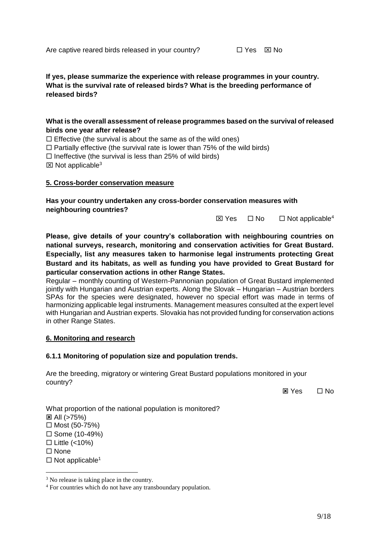# **If yes, please summarize the experience with release programmes in your country. What is the survival rate of released birds? What is the breeding performance of released birds?**

# **What is the overall assessment of release programmes based on the survival of released birds one year after release?**

 $\Box$  Effective (the survival is about the same as of the wild ones)

 $\Box$  Partially effective (the survival rate is lower than 75% of the wild birds)

 $\square$  Ineffective (the survival is less than 25% of wild birds)

 $\boxtimes$  Not applicable<sup>3</sup>

### **5. Cross-border conservation measure**

**Has your country undertaken any cross-border conservation measures with neighbouring countries?**

 $\boxtimes$  Yes  $\Box$  No  $\Box$  Not applicable<sup>4</sup>

**Please, give details of your country's collaboration with neighbouring countries on national surveys, research, monitoring and conservation activities for Great Bustard. Especially, list any measures taken to harmonise legal instruments protecting Great Bustard and its habitats, as well as funding you have provided to Great Bustard for particular conservation actions in other Range States.**

Regular – monthly counting of Western-Pannonian population of Great Bustard implemented jointly with Hungarian and Austrian experts. Along the Slovak – Hungarian – Austrian borders SPAs for the species were designated, however no special effort was made in terms of harmonizing applicable legal instruments. Management measures consulted at the expert level with Hungarian and Austrian experts. Slovakia has not provided funding for conservation actions in other Range States.

## **6. Monitoring and research**

## **6.1.1 Monitoring of population size and population trends.**

Are the breeding, migratory or wintering Great Bustard populations monitored in your country?

 $\boxtimes$  Yes  $\Box$  No

What proportion of the national population is monitored?  $\boxtimes$  All ( $>75%$ )  $\Box$  Most (50-75%)  $\square$  Some (10-49%)  $\Box$  Little (<10%)  $\Box$  None

 $\Box$  Not applicable<sup>[1](#page-2-0)</sup>

<u>.</u>

<sup>&</sup>lt;sup>3</sup> No release is taking place in the country.

<sup>4</sup> For countries which do not have any transboundary population.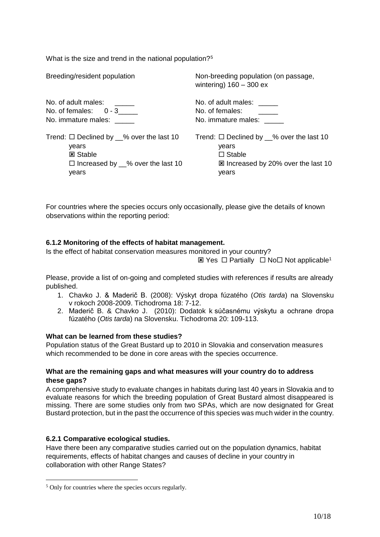What is the size and trend in the national population?<sup>5</sup>

Breeding/resident population No. of adult males: No. of females: 0 - 3\_\_\_\_\_ No. immature males: Trend:  $\Box$  Declined by  $\%$  over the last 10 years **図 Stable**  $\Box$  Increased by  $\_\%$  over the last 10 years Non-breeding population (on passage, wintering) 160 – 300 ex No. of adult males: \_\_\_\_\_ No. of females: No. immature males: Trend:  $\Box$  Declined by  $\%$  over the last 10 years  $\square$  Stable **EX Increased by 20% over the last 10** years

For countries where the species occurs only occasionally, please give the details of known observations within the reporting period:

# **6.1.2 Monitoring of the effects of habitat management.**

Is the effect of habitat conservation measures monitored in your country?

 $\boxtimes$  $\boxtimes$  $\boxtimes$  Yes  $\Box$  Partially  $\Box$  No  $\Box$  Not applicable<sup>1</sup>

Please, provide a list of on-going and completed studies with references if results are already published.

- 1. Chavko J. & Maderič B. (2008): Výskyt dropa fúzatého (*Otis tarda*) na Slovensku v rokoch 2008-2009. Tichodroma 18: 7-12.
- 2. Maderič B. & Chavko J. (2010): Dodatok k súčasnému výskytu a ochrane dropa fúzatého (*Otis tarda*) na Slovensku. Tichodroma 20: 109-113.

## **What can be learned from these studies?**

Population status of the Great Bustard up to 2010 in Slovakia and conservation measures which recommended to be done in core areas with the species occurrence.

## **What are the remaining gaps and what measures will your country do to address these gaps?**

A comprehensive study to evaluate changes in habitats during last 40 years in Slovakia and to evaluate reasons for which the breeding population of Great Bustard almost disappeared is missing. There are some studies only from two SPAs, which are now designated for Great Bustard protection, but in the past the occurrence of this species was much wider in the country.

## **6.2.1 Comparative ecological studies.**

1

Have there been any comparative studies carried out on the population dynamics, habitat requirements, effects of habitat changes and causes of decline in your country in collaboration with other Range States?

<sup>5</sup> Only for countries where the species occurs regularly.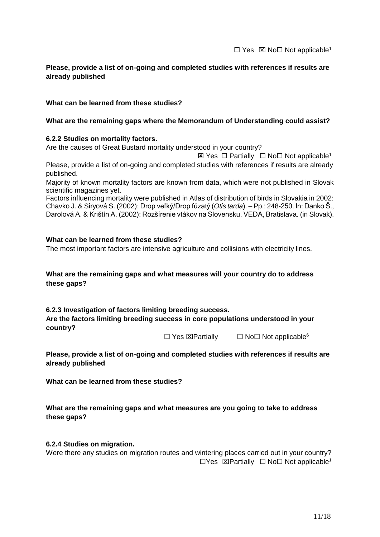# **Please, provide a list of on-going and completed studies with references if results are already published**

## **What can be learned from these studies?**

## **What are the remaining gaps where the Memorandum of Understanding could assist?**

### **6.2.2 Studies on mortality factors.**

Are the causes of Great Bustard mortality understood in your country?

 $\boxtimes$  $\boxtimes$  $\boxtimes$  Yes  $\Box$  Partially  $\Box$  No  $\Box$  Not applicable<sup>1</sup> Please, provide a list of on-going and completed studies with references if results are already published.

Majority of known mortality factors are known from data, which were not published in Slovak scientific magazines yet.

Factors influencing mortality were published in Atlas of distribution of birds in Slovakia in 2002: Chavko J. & Siryová S. (2002): Drop veľký/Drop fúzatý (*Otis tarda*). – Pp.: 248-250. In: Danko Š., Darolová A. & Krištín A. (2002): Rozšírenie vtákov na Slovensku. VEDA, Bratislava. (in Slovak).

### **What can be learned from these studies?**

The most important factors are intensive agriculture and collisions with electricity lines.

## **What are the remaining gaps and what measures will your country do to address these gaps?**

## **6.2.3 Investigation of factors limiting breeding success.**

**Are the factors limiting breeding success in core populations understood in your country?**

 $\Box$  Yes  $\boxtimes$  Partially  $\Box$  No  $\Box$  Not applicable<sup>6</sup>

**Please, provide a list of on-going and completed studies with references if results are already published** 

**What can be learned from these studies?**

# **What are the remaining gaps and what measures are you going to take to address these gaps?**

#### **6.2.4 Studies on migration.**

Were there any studies on migration routes and wintering places carried out in your country?  $\Box$ Y[e](#page-2-0)s  $\Box$ Partially  $\Box$  No  $\Box$  Not applicable<sup>1</sup>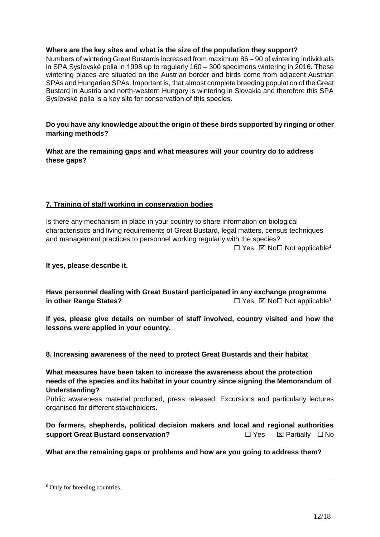## **Where are the key sites and what is the size of the population they support?**

Numbers of wintering Great Bustards increased from maximum 86 – 90 of wintering individuals in SPA Sysľovské polia in 1998 up to regularly 160 – 300 specimens wintering in 2016. These wintering places are situated on the Austrian border and birds come from adjacent Austrian SPAs and Hungarian SPAs. Important is, that almost complete breeding population of the Great Bustard in Austria and north-western Hungary is wintering in Slovakia and therefore this SPA Sysľovské polia is a key site for conservation of this species.

**Do you have any knowledge about the origin of these birds supported by ringing or other marking methods?**

**What are the remaining gaps and what measures will your country do to address these gaps?**

# **7. Training of staff working in conservation bodies**

Is there any mechanism in place in your country to share information on biological characteristics and living requirements of Great Bustard, legal matters, census techniques and management practices to personnel working regularly with the species?  $\Box$  Y[e](#page-2-0)s  $\boxtimes$  No  $\Box$  Not applicable<sup>1</sup>

**If yes, please describe it.**

**Have personnel dealing with Great Bustard participated in any exchange programme in oth[e](#page-2-0)r Range States?**  $\Box$  Yes  $\boxtimes$  No  $\Box$  Not applicable<sup>1</sup>

**If yes, please give details on number of staff involved, country visited and how the lessons were applied in your country.** 

# **8. Increasing awareness of the need to protect Great Bustards and their habitat**

**What measures have been taken to increase the awareness about the protection needs of the species and its habitat in your country since signing the Memorandum of Understanding?**

Public awareness material produced, press released. Excursions and particularly lectures organised for different stakeholders.

**Do farmers, shepherds, political decision makers and local and regional authorities support Great Bustard conservation?** △ △ △ △ △ △ △ △ △ △ Partially △ No

**What are the remaining gaps or problems and how are you going to address them?**

1

<sup>6</sup> Only for breeding countries.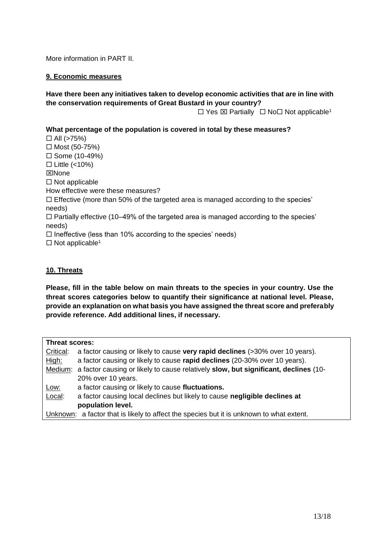More information in PART II.

# **9. Economic measures**

# **Have there been any initiatives taken to develop economic activities that are in line with the conservation requirements of Great Bustard in your country?**

 $\Box$  Y[e](#page-2-0)s  $\boxtimes$  Partially  $\Box$  No  $\Box$  Not applicable<sup>1</sup>

# **What percentage of the population is covered in total by these measures?**

 $\Box$  All (>75%)  $\Box$  Most (50-75%)  $\square$  Some (10-49%)  $\Box$  Little (<10%) **EXNone**  $\Box$  Not applicable How effective were these measures?  $\square$  Effective (more than 50% of the targeted area is managed according to the species' needs)  $\Box$  Partially effective (10–49% of the targeted area is managed according to the species' needs)  $\Box$  Ineffective (less than 10% according to the species' needs)  $\Box$  Not applicable<sup>[1](#page-2-0)</sup>

## **10. Threats**

**Please, fill in the table below on main threats to the species in your country. Use the threat scores categories below to quantify their significance at national level. Please, provide an explanation on what basis you have assigned the threat score and preferably provide reference. Add additional lines, if necessary.**

| Threat scores:                                                                           |                                                                                             |  |  |
|------------------------------------------------------------------------------------------|---------------------------------------------------------------------------------------------|--|--|
| Critical:                                                                                | a factor causing or likely to cause very rapid declines (>30% over 10 years).               |  |  |
| High:                                                                                    | a factor causing or likely to cause rapid declines (20-30% over 10 years).                  |  |  |
|                                                                                          | Medium: a factor causing or likely to cause relatively slow, but significant, declines (10- |  |  |
|                                                                                          | 20% over 10 years.                                                                          |  |  |
| Low:                                                                                     | a factor causing or likely to cause fluctuations.                                           |  |  |
| Local:                                                                                   | a factor causing local declines but likely to cause negligible declines at                  |  |  |
|                                                                                          | population level.                                                                           |  |  |
| Unknown: a factor that is likely to affect the species but it is unknown to what extent. |                                                                                             |  |  |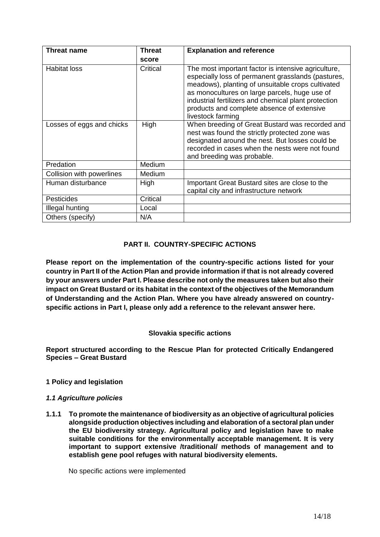| <b>Threat name</b>        | <b>Threat</b> | <b>Explanation and reference</b>                                                                                                                                                                                                                                                                                                           |
|---------------------------|---------------|--------------------------------------------------------------------------------------------------------------------------------------------------------------------------------------------------------------------------------------------------------------------------------------------------------------------------------------------|
|                           | score         |                                                                                                                                                                                                                                                                                                                                            |
| <b>Habitat loss</b>       | Critical      | The most important factor is intensive agriculture,<br>especially loss of permanent grasslands (pastures,<br>meadows), planting of unsuitable crops cultivated<br>as monocultures on large parcels, huge use of<br>industrial fertilizers and chemical plant protection<br>products and complete absence of extensive<br>livestock farming |
| Losses of eggs and chicks | High          | When breeding of Great Bustard was recorded and<br>nest was found the strictly protected zone was<br>designated around the nest. But losses could be<br>recorded in cases when the nests were not found<br>and breeding was probable.                                                                                                      |
| <b>Predation</b>          | Medium        |                                                                                                                                                                                                                                                                                                                                            |
| Collision with powerlines | Medium        |                                                                                                                                                                                                                                                                                                                                            |
| Human disturbance         | High          | Important Great Bustard sites are close to the<br>capital city and infrastructure network                                                                                                                                                                                                                                                  |
| <b>Pesticides</b>         | Critical      |                                                                                                                                                                                                                                                                                                                                            |
| Illegal hunting           | Local         |                                                                                                                                                                                                                                                                                                                                            |
| Others (specify)          | N/A           |                                                                                                                                                                                                                                                                                                                                            |

# **PART II. COUNTRY-SPECIFIC ACTIONS**

**Please report on the implementation of the country-specific actions listed for your country in Part II of the Action Plan and provide information if that is not already covered by your answers under Part I. Please describe not only the measures taken but also their impact on Great Bustard or its habitat in the context of the objectives of the Memorandum of Understanding and the Action Plan. Where you have already answered on countryspecific actions in Part I, please only add a reference to the relevant answer here.**

## **Slovakia specific actions**

**Report structured according to the Rescue Plan for protected Critically Endangered Species – Great Bustard**

## **1 Policy and legislation**

# *1.1 Agriculture policies*

**1.1.1 To promote the maintenance of biodiversity as an objective of agricultural policies alongside production objectives including and elaboration of a sectoral plan under the EU biodiversity strategy. Agricultural policy and legislation have to make suitable conditions for the environmentally acceptable management. It is very important to support extensive /traditional/ methods of management and to establish gene pool refuges with natural biodiversity elements.**

No specific actions were implemented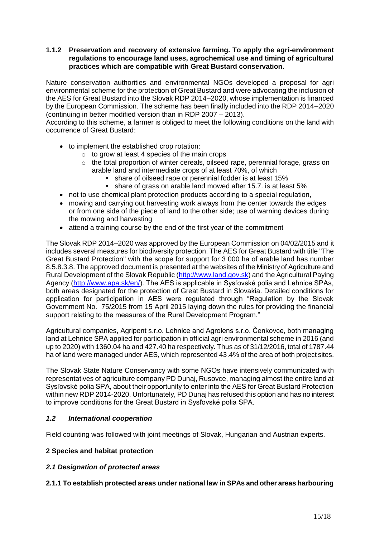## **1.1.2 Preservation and recovery of extensive farming. To apply the agri-environment regulations to encourage land uses, agrochemical use and timing of agricultural practices which are compatible with Great Bustard conservation.**

Nature conservation authorities and environmental NGOs developed a proposal for agri environmental scheme for the protection of Great Bustard and were advocating the inclusion of the AES for Great Bustard into the Slovak RDP 2014–2020, whose implementation is financed by the European Commission. The scheme has been finally included into the RDP 2014–2020 (continuing in better modified version than in RDP 2007 – 2013).

According to this scheme, a farmer is obliged to meet the following conditions on the land with occurrence of Great Bustard:

- to implement the established crop rotation:
	- o to grow at least 4 species of the main crops
	- o the total proportion of winter cereals, oilseed rape, perennial forage, grass on arable land and intermediate crops of at least 70%, of which
		- **Example 3** share of oilseed rape or perennial fodder is at least 15%
		- **EX share of grass on arable land mowed after 15.7. is at least 5%**
- not to use chemical plant protection products according to a special regulation,
- mowing and carrying out harvesting work always from the center towards the edges or from one side of the piece of land to the other side; use of warning devices during the mowing and harvesting
- attend a training course by the end of the first year of the commitment

The Slovak RDP 2014–2020 was approved by the European Commission on 04/02/2015 and it includes several measures for biodiversity protection. The AES for Great Bustard with title "The Great Bustard Protection" with the scope for support for 3 000 ha of arable land has number 8.5.8.3.8. The approved document is presented at the websites of the Ministry of Agriculture and Rural Development of the Slovak Republic [\(http://www.land.gov.sk\)](http://www.land.gov.sk/) and the Agricultural Paying Agency [\(http://www.apa.sk/en/\)](http://www.apa.sk/en/). The AES is applicable in Sysľovské polia and Lehnice SPAs, both areas designated for the protection of Great Bustard in Slovakia. Detailed conditions for application for participation in AES were regulated through "Regulation by the Slovak Government No. 75/2015 from 15 April 2015 laying down the rules for providing the financial support relating to the measures of the Rural Development Program."

Agricultural companies, Agripent s.r.o. Lehnice and Agrolens s.r.o. Čenkovce, both managing land at Lehnice SPA applied for participation in official agri environmental scheme in 2016 (and up to 2020) with 1360.04 ha and 427.40 ha respectively. Thus as of 31/12/2016, total of 1787.44 ha of land were managed under AES, which represented 43.4% of the area of both project sites.

The Slovak State Nature Conservancy with some NGOs have intensively communicated with representatives of agriculture company PD Dunaj, Rusovce, managing almost the entire land at Sysľovské polia SPA, about their opportunity to enter into the AES for Great Bustard Protection within new RDP 2014-2020. Unfortunately, PD Dunaj has refused this option and has no interest to improve conditions for the Great Bustard in Sysľovské polia SPA.

# *1.2 International cooperation*

Field counting was followed with joint meetings of Slovak, Hungarian and Austrian experts.

#### **2 Species and habitat protection**

## *2.1 Designation of protected areas*

## **2.1.1 To establish protected areas under national law in SPAs and other areas harbouring**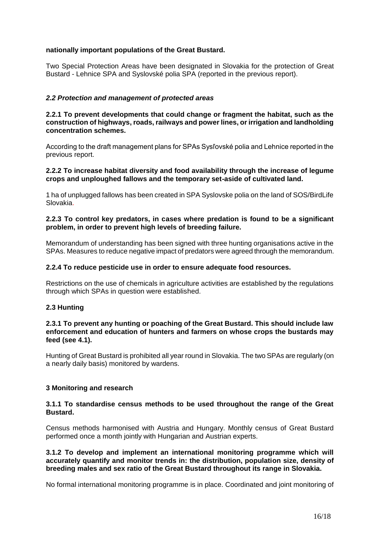## **nationally important populations of the Great Bustard.**

Two Special Protection Areas have been designated in Slovakia for the protection of Great Bustard - Lehnice SPA and Syslovské polia SPA (reported in the previous report).

## *2.2 Protection and management of protected areas*

### **2.2.1 To prevent developments that could change or fragment the habitat, such as the construction of highways, roads, railways and power lines, or irrigation and landholding concentration schemes.**

According to the draft management plans for SPAs Sysľovské polia and Lehnice reported in the previous report.

#### **2.2.2 To increase habitat diversity and food availability through the increase of legume crops and unploughed fallows and the temporary set-aside of cultivated land.**

1 ha of unplugged fallows has been created in SPA Syslovske polia on the land of SOS/BirdLife Slovakia.

## **2.2.3 To control key predators, in cases where predation is found to be a significant problem, in order to prevent high levels of breeding failure.**

Memorandum of understanding has been signed with three hunting organisations active in the SPAs. Measures to reduce negative impact of predators were agreed through the memorandum.

### **2.2.4 To reduce pesticide use in order to ensure adequate food resources.**

Restrictions on the use of chemicals in agriculture activities are established by the regulations through which SPAs in question were established.

#### **2.3 Hunting**

#### **2.3.1 To prevent any hunting or poaching of the Great Bustard. This should include law enforcement and education of hunters and farmers on whose crops the bustards may feed (see 4.1).**

Hunting of Great Bustard is prohibited all year round in Slovakia. The two SPAs are regularly (on a nearly daily basis) monitored by wardens.

#### **3 Monitoring and research**

#### **3.1.1 To standardise census methods to be used throughout the range of the Great Bustard.**

Census methods harmonised with Austria and Hungary. Monthly census of Great Bustard performed once a month jointly with Hungarian and Austrian experts.

## **3.1.2 To develop and implement an international monitoring programme which will accurately quantify and monitor trends in: the distribution, population size, density of breeding males and sex ratio of the Great Bustard throughout its range in Slovakia.**

No formal international monitoring programme is in place. Coordinated and joint monitoring of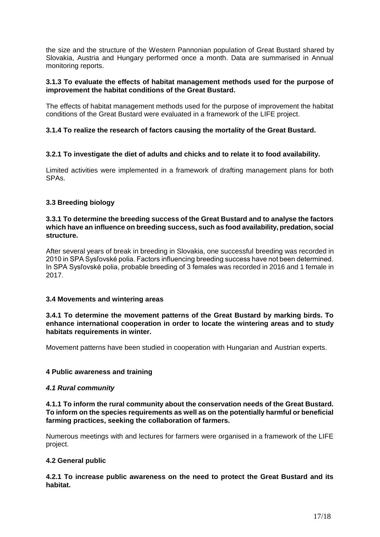the size and the structure of the Western Pannonian population of Great Bustard shared by Slovakia, Austria and Hungary performed once a month. Data are summarised in Annual monitoring reports.

## **3.1.3 To evaluate the effects of habitat management methods used for the purpose of improvement the habitat conditions of the Great Bustard.**

The effects of habitat management methods used for the purpose of improvement the habitat conditions of the Great Bustard were evaluated in a framework of the LIFE project.

# **3.1.4 To realize the research of factors causing the mortality of the Great Bustard.**

## **3.2.1 To investigate the diet of adults and chicks and to relate it to food availability.**

Limited activities were implemented in a framework of drafting management plans for both SPAs.

## **3.3 Breeding biology**

### **3.3.1 To determine the breeding success of the Great Bustard and to analyse the factors which have an influence on breeding success, such as food availability, predation, social structure.**

After several years of break in breeding in Slovakia, one successful breeding was recorded in 2010 in SPA Sysľovské polia. Factors influencing breeding success have not been determined. In SPA Sysľovské polia, probable breeding of 3 females was recorded in 2016 and 1 female in 2017.

## **3.4 Movements and wintering areas**

## **3.4.1 To determine the movement patterns of the Great Bustard by marking birds. To enhance international cooperation in order to locate the wintering areas and to study habitats requirements in winter.**

Movement patterns have been studied in cooperation with Hungarian and Austrian experts.

## **4 Public awareness and training**

#### *4.1 Rural community*

## **4.1.1 To inform the rural community about the conservation needs of the Great Bustard. To inform on the species requirements as well as on the potentially harmful or beneficial farming practices, seeking the collaboration of farmers.**

Numerous meetings with and lectures for farmers were organised in a framework of the LIFE project.

## **4.2 General public**

**4.2.1 To increase public awareness on the need to protect the Great Bustard and its habitat.**